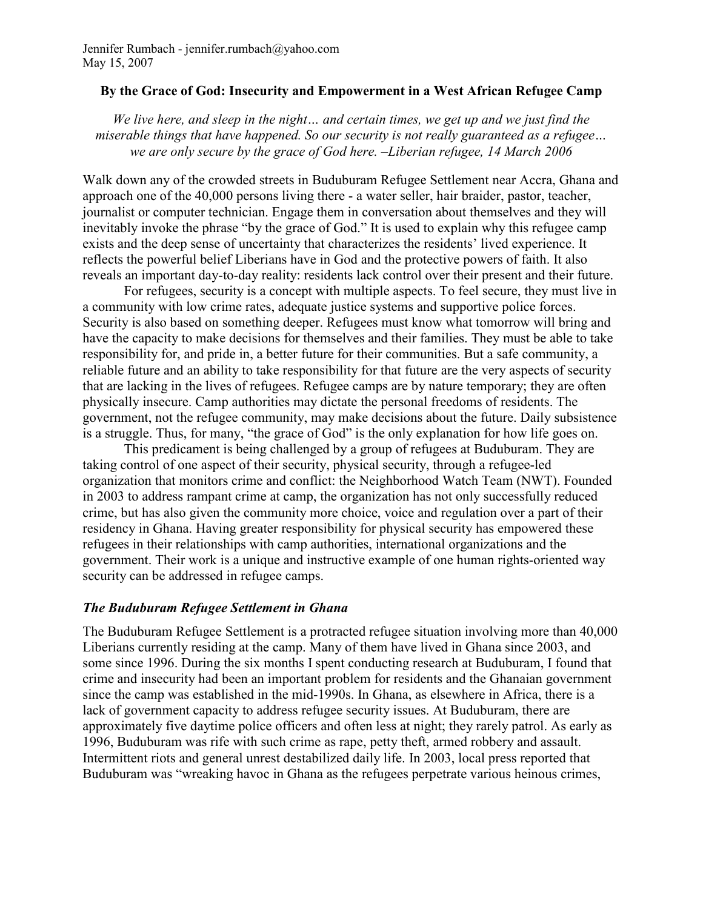## By the Grace of God: Insecurity and Empowerment in a West African Refugee Camp

We live here, and sleep in the night… and certain times, we get up and we just find the miserable things that have happened. So our security is not really guaranteed as a refugee… we are only secure by the grace of God here. –Liberian refugee, 14 March 2006

Walk down any of the crowded streets in Buduburam Refugee Settlement near Accra, Ghana and approach one of the 40,000 persons living there - a water seller, hair braider, pastor, teacher, journalist or computer technician. Engage them in conversation about themselves and they will inevitably invoke the phrase "by the grace of God." It is used to explain why this refugee camp exists and the deep sense of uncertainty that characterizes the residents' lived experience. It reflects the powerful belief Liberians have in God and the protective powers of faith. It also reveals an important day-to-day reality: residents lack control over their present and their future.

For refugees, security is a concept with multiple aspects. To feel secure, they must live in a community with low crime rates, adequate justice systems and supportive police forces. Security is also based on something deeper. Refugees must know what tomorrow will bring and have the capacity to make decisions for themselves and their families. They must be able to take responsibility for, and pride in, a better future for their communities. But a safe community, a reliable future and an ability to take responsibility for that future are the very aspects of security that are lacking in the lives of refugees. Refugee camps are by nature temporary; they are often physically insecure. Camp authorities may dictate the personal freedoms of residents. The government, not the refugee community, may make decisions about the future. Daily subsistence is a struggle. Thus, for many, "the grace of God" is the only explanation for how life goes on.

This predicament is being challenged by a group of refugees at Buduburam. They are taking control of one aspect of their security, physical security, through a refugee-led organization that monitors crime and conflict: the Neighborhood Watch Team (NWT). Founded in 2003 to address rampant crime at camp, the organization has not only successfully reduced crime, but has also given the community more choice, voice and regulation over a part of their residency in Ghana. Having greater responsibility for physical security has empowered these refugees in their relationships with camp authorities, international organizations and the government. Their work is a unique and instructive example of one human rights-oriented way security can be addressed in refugee camps.

## The Buduburam Refugee Settlement in Ghana

The Buduburam Refugee Settlement is a protracted refugee situation involving more than 40,000 Liberians currently residing at the camp. Many of them have lived in Ghana since 2003, and some since 1996. During the six months I spent conducting research at Buduburam, I found that crime and insecurity had been an important problem for residents and the Ghanaian government since the camp was established in the mid-1990s. In Ghana, as elsewhere in Africa, there is a lack of government capacity to address refugee security issues. At Buduburam, there are approximately five daytime police officers and often less at night; they rarely patrol. As early as 1996, Buduburam was rife with such crime as rape, petty theft, armed robbery and assault. Intermittent riots and general unrest destabilized daily life. In 2003, local press reported that Buduburam was "wreaking havoc in Ghana as the refugees perpetrate various heinous crimes,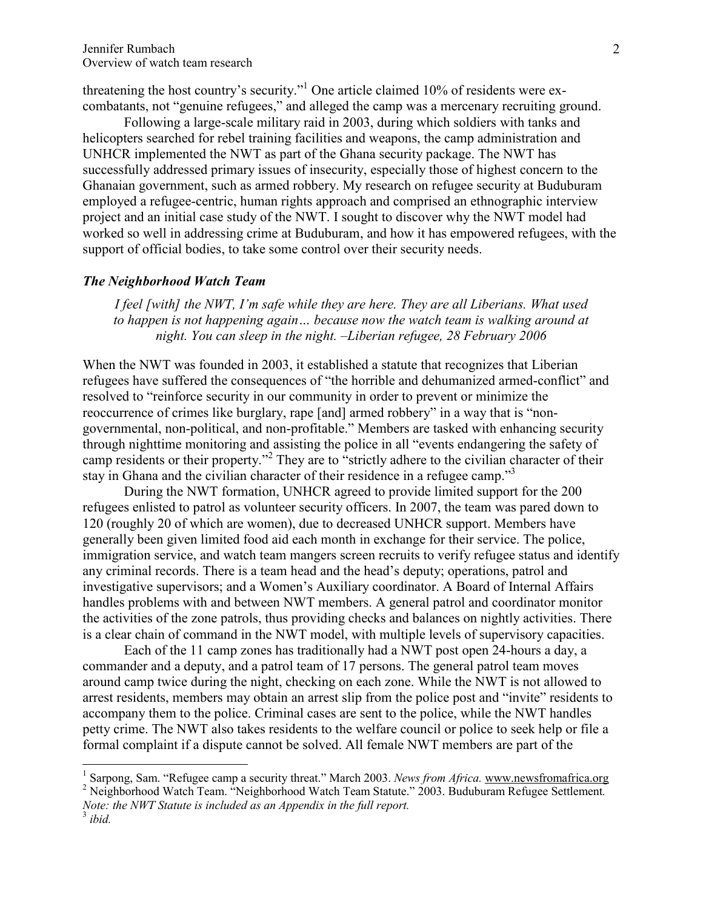threatening the host country's security."<sup>1</sup> One article claimed 10% of residents were excombatants, not "genuine refugees," and alleged the camp was a mercenary recruiting ground.

Following a large-scale military raid in 2003, during which soldiers with tanks and helicopters searched for rebel training facilities and weapons, the camp administration and UNHCR implemented the NWT as part of the Ghana security package. The NWT has successfully addressed primary issues of insecurity, especially those of highest concern to the Ghanaian government, such as armed robbery. My research on refugee security at Buduburam employed a refugee-centric, human rights approach and comprised an ethnographic interview project and an initial case study of the NWT. I sought to discover why the NWT model had worked so well in addressing crime at Buduburam, and how it has empowered refugees, with the support of official bodies, to take some control over their security needs.

## The Neighborhood Watch Team

I feel [with] the NWT, I'm safe while they are here. They are all Liberians. What used to happen is not happening again… because now the watch team is walking around at night. You can sleep in the night. –Liberian refugee, 28 February 2006

When the NWT was founded in 2003, it established a statute that recognizes that Liberian refugees have suffered the consequences of "the horrible and dehumanized armed-conflict" and resolved to "reinforce security in our community in order to prevent or minimize the reoccurrence of crimes like burglary, rape [and] armed robbery" in a way that is "nongovernmental, non-political, and non-profitable." Members are tasked with enhancing security through nighttime monitoring and assisting the police in all "events endangering the safety of camp residents or their property."<sup>2</sup> They are to "strictly adhere to the civilian character of their stay in Ghana and the civilian character of their residence in a refugee camp."<sup>3</sup>

During the NWT formation, UNHCR agreed to provide limited support for the 200 refugees enlisted to patrol as volunteer security officers. In 2007, the team was pared down to 120 (roughly 20 of which are women), due to decreased UNHCR support. Members have generally been given limited food aid each month in exchange for their service. The police, immigration service, and watch team mangers screen recruits to verify refugee status and identify any criminal records. There is a team head and the head's deputy; operations, patrol and investigative supervisors; and a Women's Auxiliary coordinator. A Board of Internal Affairs handles problems with and between NWT members. A general patrol and coordinator monitor the activities of the zone patrols, thus providing checks and balances on nightly activities. There is a clear chain of command in the NWT model, with multiple levels of supervisory capacities.

Each of the 11 camp zones has traditionally had a NWT post open 24-hours a day, a commander and a deputy, and a patrol team of 17 persons. The general patrol team moves around camp twice during the night, checking on each zone. While the NWT is not allowed to arrest residents, members may obtain an arrest slip from the police post and "invite" residents to accompany them to the police. Criminal cases are sent to the police, while the NWT handles petty crime. The NWT also takes residents to the welfare council or police to seek help or file a formal complaint if a dispute cannot be solved. All female NWT members are part of the

 $\overline{a}$ 

<sup>&</sup>lt;sup>1</sup> Sarpong, Sam. "Refugee camp a security threat." March 2003. News from Africa. www.newsfromafrica.org

<sup>&</sup>lt;sup>2</sup> Neighborhood Watch Team. "Neighborhood Watch Team Statute." 2003. Buduburam Refugee Settlement. Note: the NWT Statute is included as an Appendix in the full report.

 $3$  ibid.